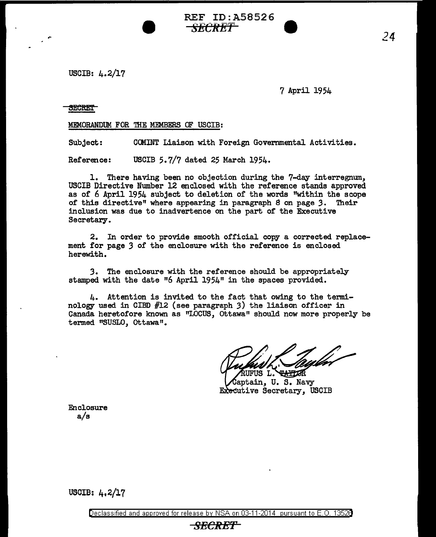REF ID:A58526 *SECRET* **9** 

USCIB: 4.2/17

7 April 1954

**SECRET** 

,.

MEMORANDUM FOR THE MEMBERS OF USCIB:

Subject: CCMINT Liaison with Foreign Governmental Activities.

Reference: USCIB 5.7/7 dated 25 March 1954.

1. There having been no objection during the 7-day interregnum, USCIB Directive Number 12 enclosed with the reference stands approved as or 6 April 1954 subject to deletion or the words "within the scope of this directive" where appearing in paragraph 8 on page 3. Their inclusion was due to inadvertence on the part of the Executive Secretary.

2. In order to provide smooth official copy a corrected replacement for page *3* of the enclosure with the reference is enclosed herewith.

*3.* The enclosure with the reference should be appropriately stamped with the date  $0.6$  April 1954" in the spaces provided.

4. Attention is invited to the fact that owing to the terminology used in CIBD #12 (see paragraph 3) the liaison officer in Canada heretofore known as "LOCUS, ottawa" should now more properly be termed "SUSLO, Ottawa".

UFUS L. THELOR aptain, U. S. Navy Executive Secretary, USCIB

Enclosure a/s

USCIB: 4,2/17

Declassified and approved for release by NSA on 03-11-2014 pursuant to E. 0. 1352B

## *SECR-EP*